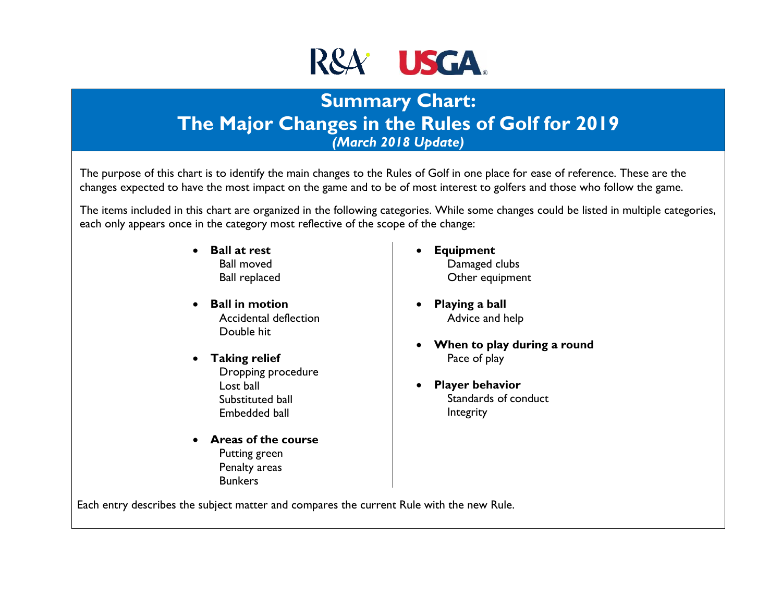

# **Summary Chart: The Major Changes in the Rules of Golf for 2019** *(March 2018 Update)*

The purpose of this chart is to identify the main changes to the Rules of Golf in one place for ease of reference. These are the changes expected to have the most impact on the game and to be of most interest to golfers and those who follow the game.

The items included in this chart are organized in the following categories. While some changes could be listed in multiple categories, each only appears once in the category most reflective of the scope of the change:

- **Ball at rest** Ball moved Ball replaced
- **Ball in motion** Accidental deflection Double hit
- **Taking relief** Dropping procedure Lost ball Substituted ball Embedded ball
- **Areas of the course**  Putting green Penalty areas **Bunkers**
- **Equipment** Damaged clubs Other equipment
- **Playing a ball** Advice and help
- **When to play during a round** Pace of play
- **Player behavior**  Standards of conduct Integrity

Each entry describes the subject matter and compares the current Rule with the new Rule.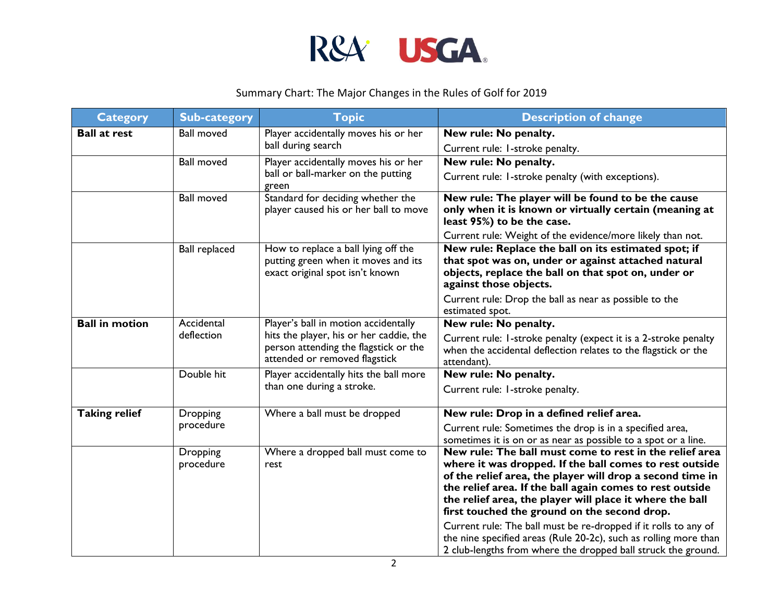

| <b>Category</b>       | <b>Sub-category</b>          | <b>Topic</b>                                                                                                                                              | <b>Description of change</b>                                                                                                                                                                                                                                                                                                                                                                                                                                                                                                                                    |
|-----------------------|------------------------------|-----------------------------------------------------------------------------------------------------------------------------------------------------------|-----------------------------------------------------------------------------------------------------------------------------------------------------------------------------------------------------------------------------------------------------------------------------------------------------------------------------------------------------------------------------------------------------------------------------------------------------------------------------------------------------------------------------------------------------------------|
| <b>Ball at rest</b>   | <b>Ball moved</b>            | Player accidentally moves his or her<br>ball during search                                                                                                | New rule: No penalty.                                                                                                                                                                                                                                                                                                                                                                                                                                                                                                                                           |
|                       |                              |                                                                                                                                                           | Current rule: I-stroke penalty.                                                                                                                                                                                                                                                                                                                                                                                                                                                                                                                                 |
|                       | <b>Ball moved</b>            | Player accidentally moves his or her                                                                                                                      | New rule: No penalty.                                                                                                                                                                                                                                                                                                                                                                                                                                                                                                                                           |
|                       |                              | ball or ball-marker on the putting<br>green                                                                                                               | Current rule: I-stroke penalty (with exceptions).                                                                                                                                                                                                                                                                                                                                                                                                                                                                                                               |
|                       | <b>Ball moved</b>            | Standard for deciding whether the<br>player caused his or her ball to move                                                                                | New rule: The player will be found to be the cause<br>only when it is known or virtually certain (meaning at<br>least 95%) to be the case.                                                                                                                                                                                                                                                                                                                                                                                                                      |
|                       |                              |                                                                                                                                                           | Current rule: Weight of the evidence/more likely than not.                                                                                                                                                                                                                                                                                                                                                                                                                                                                                                      |
|                       | <b>Ball replaced</b>         | How to replace a ball lying off the<br>putting green when it moves and its<br>exact original spot isn't known                                             | New rule: Replace the ball on its estimated spot; if<br>that spot was on, under or against attached natural<br>objects, replace the ball on that spot on, under or<br>against those objects.                                                                                                                                                                                                                                                                                                                                                                    |
|                       |                              |                                                                                                                                                           | Current rule: Drop the ball as near as possible to the<br>estimated spot.                                                                                                                                                                                                                                                                                                                                                                                                                                                                                       |
| <b>Ball in motion</b> | Accidental<br>deflection     | Player's ball in motion accidentally<br>hits the player, his or her caddie, the<br>person attending the flagstick or the<br>attended or removed flagstick | New rule: No penalty.                                                                                                                                                                                                                                                                                                                                                                                                                                                                                                                                           |
|                       |                              |                                                                                                                                                           | Current rule: I-stroke penalty (expect it is a 2-stroke penalty<br>when the accidental deflection relates to the flagstick or the<br>attendant).                                                                                                                                                                                                                                                                                                                                                                                                                |
|                       | Double hit                   | Player accidentally hits the ball more                                                                                                                    | New rule: No penalty.                                                                                                                                                                                                                                                                                                                                                                                                                                                                                                                                           |
|                       |                              | than one during a stroke.                                                                                                                                 | Current rule: I-stroke penalty.                                                                                                                                                                                                                                                                                                                                                                                                                                                                                                                                 |
| <b>Taking relief</b>  | Dropping                     | Where a ball must be dropped                                                                                                                              | New rule: Drop in a defined relief area.                                                                                                                                                                                                                                                                                                                                                                                                                                                                                                                        |
|                       | procedure                    |                                                                                                                                                           | Current rule: Sometimes the drop is in a specified area,<br>sometimes it is on or as near as possible to a spot or a line.                                                                                                                                                                                                                                                                                                                                                                                                                                      |
|                       | <b>Dropping</b><br>procedure | Where a dropped ball must come to<br>rest                                                                                                                 | New rule: The ball must come to rest in the relief area<br>where it was dropped. If the ball comes to rest outside<br>of the relief area, the player will drop a second time in<br>the relief area. If the ball again comes to rest outside<br>the relief area, the player will place it where the ball<br>first touched the ground on the second drop.<br>Current rule: The ball must be re-dropped if it rolls to any of<br>the nine specified areas (Rule 20-2c), such as rolling more than<br>2 club-lengths from where the dropped ball struck the ground. |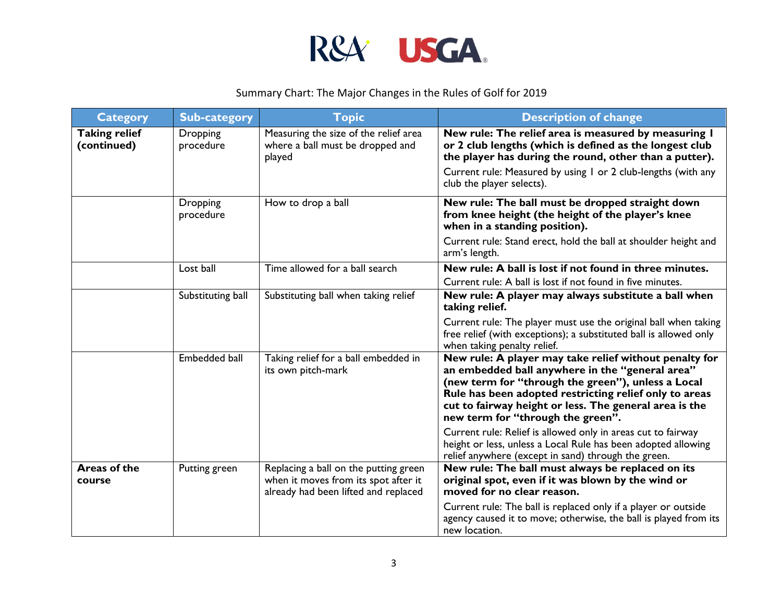

| <b>Category</b>                     | <b>Sub-category</b>   | <b>Topic</b>                                                                                                          | <b>Description of change</b>                                                                                                                                                                                                                                                                                             |
|-------------------------------------|-----------------------|-----------------------------------------------------------------------------------------------------------------------|--------------------------------------------------------------------------------------------------------------------------------------------------------------------------------------------------------------------------------------------------------------------------------------------------------------------------|
| <b>Taking relief</b><br>(continued) | Dropping<br>procedure | Measuring the size of the relief area<br>where a ball must be dropped and<br>played                                   | New rule: The relief area is measured by measuring I<br>or 2 club lengths (which is defined as the longest club<br>the player has during the round, other than a putter).                                                                                                                                                |
|                                     |                       |                                                                                                                       | Current rule: Measured by using I or 2 club-lengths (with any<br>club the player selects).                                                                                                                                                                                                                               |
|                                     | Dropping<br>procedure | How to drop a ball                                                                                                    | New rule: The ball must be dropped straight down<br>from knee height (the height of the player's knee<br>when in a standing position).                                                                                                                                                                                   |
|                                     |                       |                                                                                                                       | Current rule: Stand erect, hold the ball at shoulder height and<br>arm's length.                                                                                                                                                                                                                                         |
|                                     | Lost ball             | Time allowed for a ball search                                                                                        | New rule: A ball is lost if not found in three minutes.                                                                                                                                                                                                                                                                  |
|                                     |                       |                                                                                                                       | Current rule: A ball is lost if not found in five minutes.                                                                                                                                                                                                                                                               |
|                                     | Substituting ball     | Substituting ball when taking relief                                                                                  | New rule: A player may always substitute a ball when<br>taking relief.                                                                                                                                                                                                                                                   |
|                                     |                       |                                                                                                                       | Current rule: The player must use the original ball when taking<br>free relief (with exceptions); a substituted ball is allowed only<br>when taking penalty relief.                                                                                                                                                      |
|                                     | Embedded ball         | Taking relief for a ball embedded in<br>its own pitch-mark                                                            | New rule: A player may take relief without penalty for<br>an embedded ball anywhere in the "general area"<br>(new term for "through the green"), unless a Local<br>Rule has been adopted restricting relief only to areas<br>cut to fairway height or less. The general area is the<br>new term for "through the green". |
|                                     |                       |                                                                                                                       | Current rule: Relief is allowed only in areas cut to fairway<br>height or less, unless a Local Rule has been adopted allowing<br>relief anywhere (except in sand) through the green.                                                                                                                                     |
| <b>Areas of the</b><br>course       | Putting green         | Replacing a ball on the putting green<br>when it moves from its spot after it<br>already had been lifted and replaced | New rule: The ball must always be replaced on its<br>original spot, even if it was blown by the wind or<br>moved for no clear reason.                                                                                                                                                                                    |
|                                     |                       |                                                                                                                       | Current rule: The ball is replaced only if a player or outside<br>agency caused it to move; otherwise, the ball is played from its<br>new location.                                                                                                                                                                      |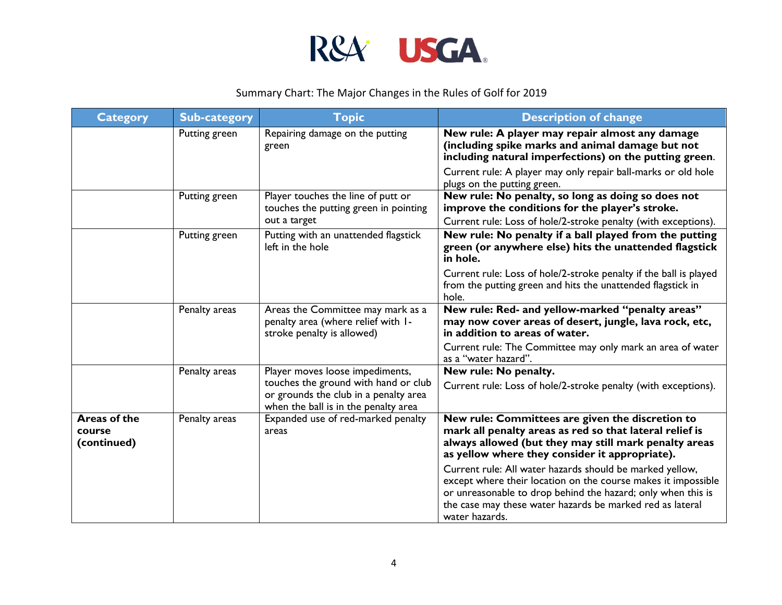

| <b>Category</b>                       | <b>Sub-category</b> | <b>Topic</b>                                                                                                          | <b>Description of change</b>                                                                                                                                                                                                                                             |
|---------------------------------------|---------------------|-----------------------------------------------------------------------------------------------------------------------|--------------------------------------------------------------------------------------------------------------------------------------------------------------------------------------------------------------------------------------------------------------------------|
|                                       | Putting green       | Repairing damage on the putting<br>green                                                                              | New rule: A player may repair almost any damage<br>(including spike marks and animal damage but not<br>including natural imperfections) on the putting green.                                                                                                            |
|                                       |                     |                                                                                                                       | Current rule: A player may only repair ball-marks or old hole<br>plugs on the putting green.                                                                                                                                                                             |
|                                       | Putting green       | Player touches the line of putt or<br>touches the putting green in pointing                                           | New rule: No penalty, so long as doing so does not<br>improve the conditions for the player's stroke.                                                                                                                                                                    |
|                                       |                     | out a target                                                                                                          | Current rule: Loss of hole/2-stroke penalty (with exceptions).                                                                                                                                                                                                           |
|                                       | Putting green       | Putting with an unattended flagstick<br>left in the hole                                                              | New rule: No penalty if a ball played from the putting<br>green (or anywhere else) hits the unattended flagstick<br>in hole.                                                                                                                                             |
|                                       |                     |                                                                                                                       | Current rule: Loss of hole/2-stroke penalty if the ball is played<br>from the putting green and hits the unattended flagstick in<br>hole.                                                                                                                                |
|                                       | Penalty areas       | Areas the Committee may mark as a<br>penalty area (where relief with I-<br>stroke penalty is allowed)                 | New rule: Red- and yellow-marked "penalty areas"<br>may now cover areas of desert, jungle, lava rock, etc,<br>in addition to areas of water.                                                                                                                             |
|                                       |                     |                                                                                                                       | Current rule: The Committee may only mark an area of water<br>as a "water hazard".                                                                                                                                                                                       |
|                                       | Penalty areas       | Player moves loose impediments,                                                                                       | New rule: No penalty.                                                                                                                                                                                                                                                    |
|                                       |                     | touches the ground with hand or club<br>or grounds the club in a penalty area<br>when the ball is in the penalty area | Current rule: Loss of hole/2-stroke penalty (with exceptions).                                                                                                                                                                                                           |
| Areas of the<br>course<br>(continued) | Penalty areas       | Expanded use of red-marked penalty<br>areas                                                                           | New rule: Committees are given the discretion to<br>mark all penalty areas as red so that lateral relief is<br>always allowed (but they may still mark penalty areas<br>as yellow where they consider it appropriate).                                                   |
|                                       |                     |                                                                                                                       | Current rule: All water hazards should be marked yellow,<br>except where their location on the course makes it impossible<br>or unreasonable to drop behind the hazard; only when this is<br>the case may these water hazards be marked red as lateral<br>water hazards. |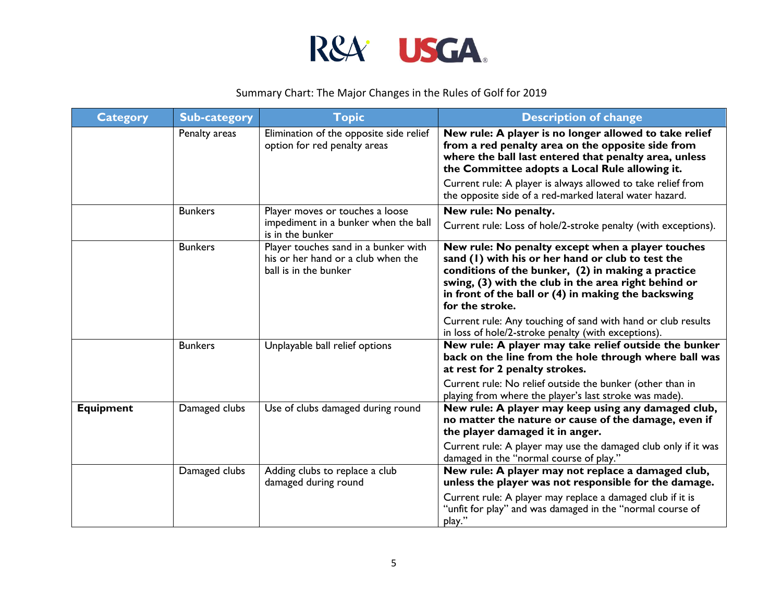

| <b>Category</b>  | <b>Sub-category</b> | <b>Topic</b>                                                                                        | <b>Description of change</b>                                                                                                                                                                                                                                                                   |
|------------------|---------------------|-----------------------------------------------------------------------------------------------------|------------------------------------------------------------------------------------------------------------------------------------------------------------------------------------------------------------------------------------------------------------------------------------------------|
|                  | Penalty areas       | Elimination of the opposite side relief<br>option for red penalty areas                             | New rule: A player is no longer allowed to take relief<br>from a red penalty area on the opposite side from<br>where the ball last entered that penalty area, unless<br>the Committee adopts a Local Rule allowing it.                                                                         |
|                  |                     |                                                                                                     | Current rule: A player is always allowed to take relief from<br>the opposite side of a red-marked lateral water hazard.                                                                                                                                                                        |
|                  | <b>Bunkers</b>      | Player moves or touches a loose                                                                     | New rule: No penalty.                                                                                                                                                                                                                                                                          |
|                  |                     | impediment in a bunker when the ball<br>is in the bunker                                            | Current rule: Loss of hole/2-stroke penalty (with exceptions).                                                                                                                                                                                                                                 |
|                  | <b>Bunkers</b>      | Player touches sand in a bunker with<br>his or her hand or a club when the<br>ball is in the bunker | New rule: No penalty except when a player touches<br>sand (1) with his or her hand or club to test the<br>conditions of the bunker, (2) in making a practice<br>swing, (3) with the club in the area right behind or<br>in front of the ball or (4) in making the backswing<br>for the stroke. |
|                  |                     |                                                                                                     | Current rule: Any touching of sand with hand or club results<br>in loss of hole/2-stroke penalty (with exceptions).                                                                                                                                                                            |
|                  | <b>Bunkers</b>      | Unplayable ball relief options                                                                      | New rule: A player may take relief outside the bunker<br>back on the line from the hole through where ball was<br>at rest for 2 penalty strokes.                                                                                                                                               |
|                  |                     |                                                                                                     | Current rule: No relief outside the bunker (other than in<br>playing from where the player's last stroke was made).                                                                                                                                                                            |
| <b>Equipment</b> | Damaged clubs       | Use of clubs damaged during round                                                                   | New rule: A player may keep using any damaged club,<br>no matter the nature or cause of the damage, even if<br>the player damaged it in anger.                                                                                                                                                 |
|                  |                     |                                                                                                     | Current rule: A player may use the damaged club only if it was<br>damaged in the "normal course of play."                                                                                                                                                                                      |
|                  | Damaged clubs       | Adding clubs to replace a club<br>damaged during round                                              | New rule: A player may not replace a damaged club,<br>unless the player was not responsible for the damage.                                                                                                                                                                                    |
|                  |                     |                                                                                                     | Current rule: A player may replace a damaged club if it is<br>"unfit for play" and was damaged in the "normal course of<br>play."                                                                                                                                                              |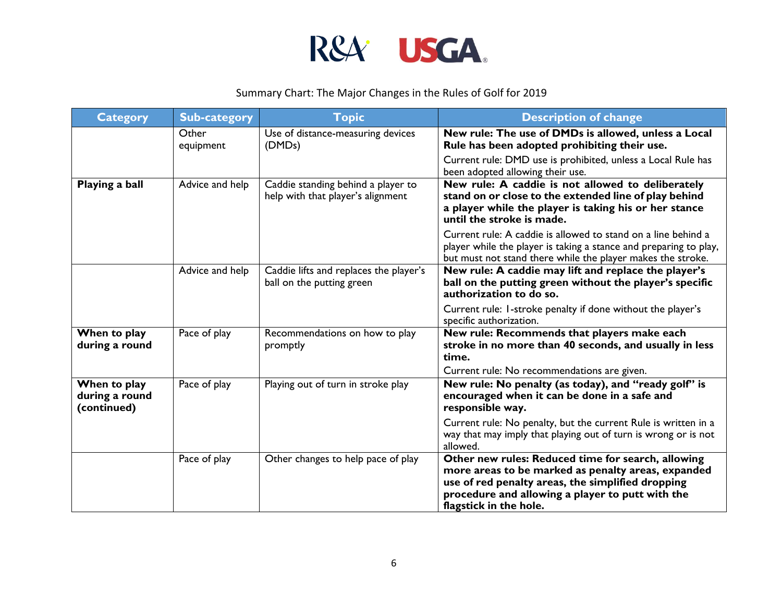

| <b>Category</b>                               | <b>Sub-category</b> | <b>Topic</b>                                                            | <b>Description of change</b>                                                                                                                                                                                                                |
|-----------------------------------------------|---------------------|-------------------------------------------------------------------------|---------------------------------------------------------------------------------------------------------------------------------------------------------------------------------------------------------------------------------------------|
|                                               | Other<br>equipment  | Use of distance-measuring devices<br>(DMD <sub>s</sub> )                | New rule: The use of DMDs is allowed, unless a Local<br>Rule has been adopted prohibiting their use.                                                                                                                                        |
|                                               |                     |                                                                         | Current rule: DMD use is prohibited, unless a Local Rule has<br>been adopted allowing their use.                                                                                                                                            |
| Playing a ball                                | Advice and help     | Caddie standing behind a player to<br>help with that player's alignment | New rule: A caddie is not allowed to deliberately<br>stand on or close to the extended line of play behind<br>a player while the player is taking his or her stance<br>until the stroke is made.                                            |
|                                               |                     |                                                                         | Current rule: A caddie is allowed to stand on a line behind a<br>player while the player is taking a stance and preparing to play,<br>but must not stand there while the player makes the stroke.                                           |
|                                               | Advice and help     | Caddie lifts and replaces the player's<br>ball on the putting green     | New rule: A caddie may lift and replace the player's<br>ball on the putting green without the player's specific<br>authorization to do so.                                                                                                  |
|                                               |                     |                                                                         | Current rule: I-stroke penalty if done without the player's<br>specific authorization.                                                                                                                                                      |
| When to play<br>during a round                | Pace of play        | Recommendations on how to play<br>promptly                              | New rule: Recommends that players make each<br>stroke in no more than 40 seconds, and usually in less<br>time.                                                                                                                              |
|                                               |                     |                                                                         | Current rule: No recommendations are given.                                                                                                                                                                                                 |
| When to play<br>during a round<br>(continued) | Pace of play        | Playing out of turn in stroke play                                      | New rule: No penalty (as today), and "ready golf" is<br>encouraged when it can be done in a safe and<br>responsible way.                                                                                                                    |
|                                               |                     |                                                                         | Current rule: No penalty, but the current Rule is written in a<br>way that may imply that playing out of turn is wrong or is not<br>allowed.                                                                                                |
|                                               | Pace of play        | Other changes to help pace of play                                      | Other new rules: Reduced time for search, allowing<br>more areas to be marked as penalty areas, expanded<br>use of red penalty areas, the simplified dropping<br>procedure and allowing a player to putt with the<br>flagstick in the hole. |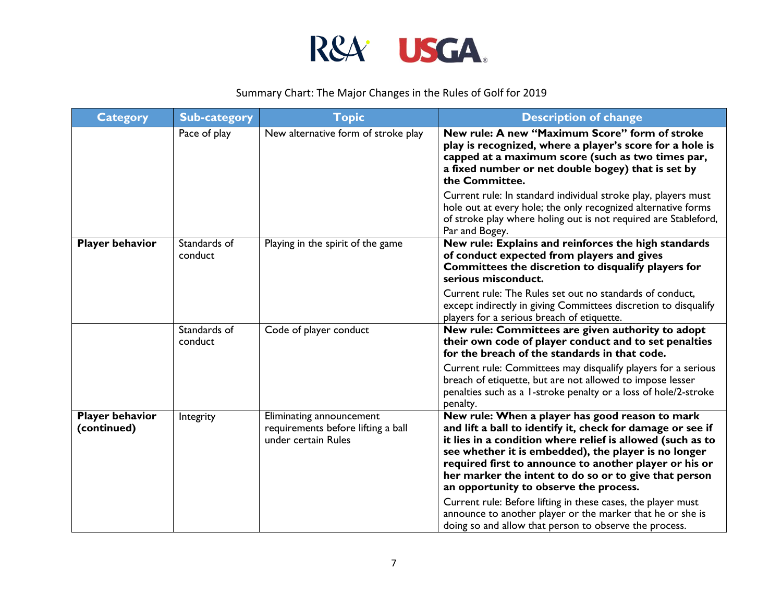

| <b>Category</b>                       | <b>Sub-category</b>     | <b>Topic</b>                                                                          | <b>Description of change</b>                                                                                                                                                                                                                                                                                                                                                                                                                                                                                                                                                             |
|---------------------------------------|-------------------------|---------------------------------------------------------------------------------------|------------------------------------------------------------------------------------------------------------------------------------------------------------------------------------------------------------------------------------------------------------------------------------------------------------------------------------------------------------------------------------------------------------------------------------------------------------------------------------------------------------------------------------------------------------------------------------------|
|                                       | Pace of play            | New alternative form of stroke play                                                   | New rule: A new "Maximum Score" form of stroke<br>play is recognized, where a player's score for a hole is<br>capped at a maximum score (such as two times par,<br>a fixed number or net double bogey) that is set by<br>the Committee.                                                                                                                                                                                                                                                                                                                                                  |
|                                       |                         |                                                                                       | Current rule: In standard individual stroke play, players must<br>hole out at every hole; the only recognized alternative forms<br>of stroke play where holing out is not required are Stableford,<br>Par and Bogey.                                                                                                                                                                                                                                                                                                                                                                     |
| <b>Player behavior</b>                | Standards of<br>conduct | Playing in the spirit of the game                                                     | New rule: Explains and reinforces the high standards<br>of conduct expected from players and gives<br>Committees the discretion to disqualify players for<br>serious misconduct.                                                                                                                                                                                                                                                                                                                                                                                                         |
|                                       |                         |                                                                                       | Current rule: The Rules set out no standards of conduct,<br>except indirectly in giving Committees discretion to disqualify<br>players for a serious breach of etiquette.                                                                                                                                                                                                                                                                                                                                                                                                                |
|                                       | Standards of<br>conduct | Code of player conduct                                                                | New rule: Committees are given authority to adopt<br>their own code of player conduct and to set penalties<br>for the breach of the standards in that code.                                                                                                                                                                                                                                                                                                                                                                                                                              |
|                                       |                         |                                                                                       | Current rule: Committees may disqualify players for a serious<br>breach of etiquette, but are not allowed to impose lesser<br>penalties such as a 1-stroke penalty or a loss of hole/2-stroke<br>penalty.                                                                                                                                                                                                                                                                                                                                                                                |
| <b>Player behavior</b><br>(continued) | Integrity               | Eliminating announcement<br>requirements before lifting a ball<br>under certain Rules | New rule: When a player has good reason to mark<br>and lift a ball to identify it, check for damage or see if<br>it lies in a condition where relief is allowed (such as to<br>see whether it is embedded), the player is no longer<br>required first to announce to another player or his or<br>her marker the intent to do so or to give that person<br>an opportunity to observe the process.<br>Current rule: Before lifting in these cases, the player must<br>announce to another player or the marker that he or she is<br>doing so and allow that person to observe the process. |